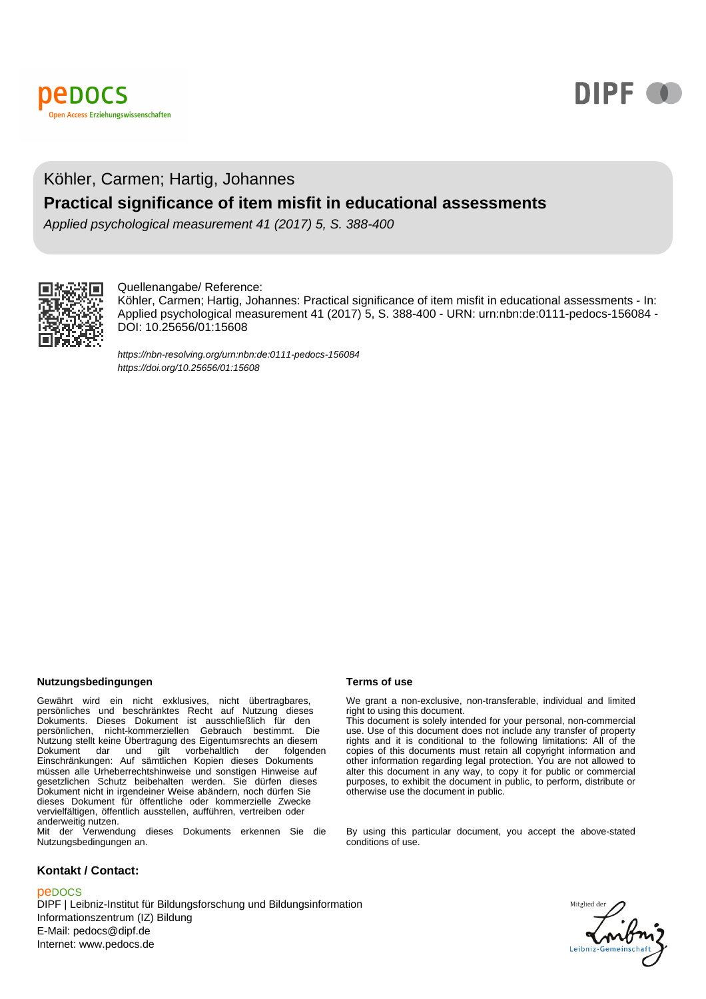



# Köhler, Carmen; Hartig, Johannes **Practical significance of item misfit in educational assessments**

Applied psychological measurement 41 (2017) 5, S. 388-400



#### Quellenangabe/ Reference:

Köhler, Carmen; Hartig, Johannes: Practical significance of item misfit in educational assessments - In: Applied psychological measurement 41 (2017) 5, S. 388-400 - URN: urn:nbn:de:0111-pedocs-156084 - DOI: 10.25656/01:15608

https://nbn-resolving.org/urn:nbn:de:0111-pedocs-156084 https://doi.org/10.25656/01:15608

#### **Nutzungsbedingungen Terms of use**

Gewährt wird ein nicht exklusives, nicht übertragbares,<br>persönliches und beschränktes Recht auf Nutzung dieses<br>Dokuments. Dieses Dokument ist ausschließlich für den<br>persönlichen, nicht-kommerziellen Gebrauch bestimmt. Die Nutzung stellt keine Übertragung des Eigentumsrechts an diesem Dokument dar und gilt vorbehaltlich der folgenden Einschränkungen: Auf sämtlichen Kopien dieses Dokuments müssen alle Urheberrechtshinweise und sonstigen Hinweise auf gesetzlichen Schutz beibehalten werden. Sie dürfen dieses Dokument nicht in irgendeiner Weise abändern, noch dürfen Sie dieses Dokument für öffentliche oder kommerzielle Zwecke vervielfältigen, öffentlich ausstellen, aufführen, vertreiben oder anderweitig nutzen.

Mit der Verwendung dieses Dokuments erkennen Sie die Nutzungsbedingungen an.

#### **Kontakt / Contact:**

#### peDOCS

DIPF | Leibniz-Institut für Bildungsforschung und Bildungsinformation Informationszentrum (IZ) Bildung E-Mail: pedocs@dipf.de Internet: www.pedocs.de

We grant a non-exclusive, non-transferable, individual and limited right to using this document.

This document is solely intended for your personal, non-commercial use. Use of this document does not include any transfer of property rights and it is conditional to the following limitations: All of the copies of this documents must retain all copyright information and other information regarding legal protection. You are not allowed to alter this document in any way, to copy it for public or commercial purposes, to exhibit the document in public, to perform, distribute or otherwise use the document in public.

By using this particular document, you accept the above-stated conditions of use.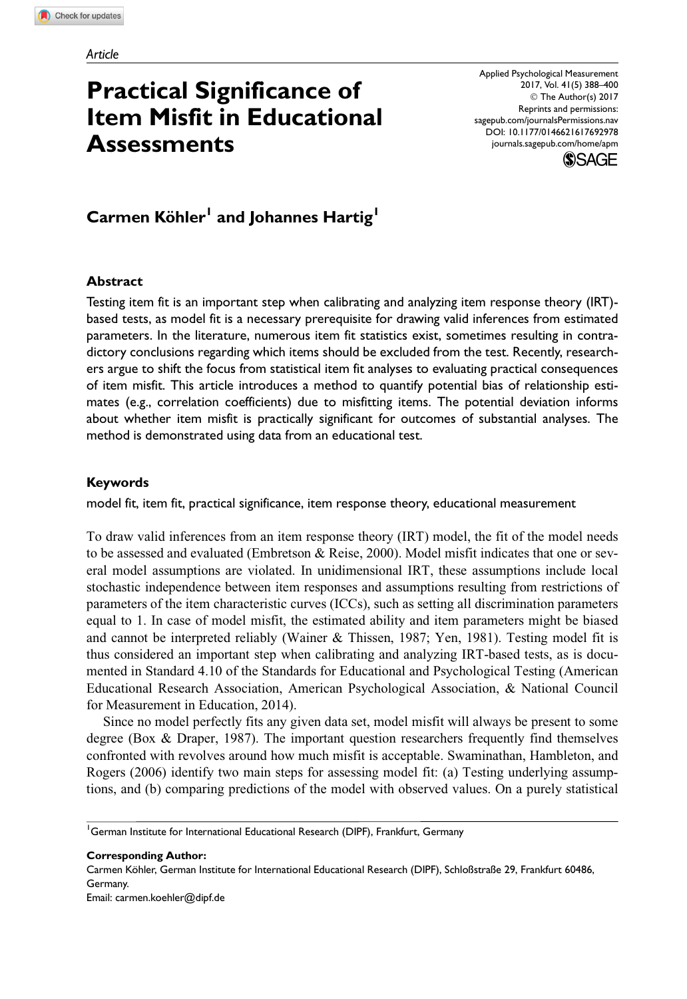# Practical Significance of Item Misfit in Educational **Assessments**

Applied Psychological Measurement 2017, Vol. 41(5) 388–400 © The Author(s) 2017 Reprints and permissions: [sagepub.com/journalsPermissions.nav](https://us.sagepub.com/en-us/journals-permissions) [DOI: 10.1177/0146621617692978](https://doi.dox.org/10.1177/0146621617692978) <journals.sagepub.com/home/apm>



# Carmen Köhler<sup>1</sup> and Johannes Hartig<sup>1</sup>

#### Abstract

Testing item fit is an important step when calibrating and analyzing item response theory (IRT) based tests, as model fit is a necessary prerequisite for drawing valid inferences from estimated parameters. In the literature, numerous item fit statistics exist, sometimes resulting in contradictory conclusions regarding which items should be excluded from the test. Recently, researchers argue to shift the focus from statistical item fit analyses to evaluating practical consequences of item misfit. This article introduces a method to quantify potential bias of relationship estimates (e.g., correlation coefficients) due to misfitting items. The potential deviation informs about whether item misfit is practically significant for outcomes of substantial analyses. The method is demonstrated using data from an educational test.

#### Keywords

model fit, item fit, practical significance, item response theory, educational measurement

To draw valid inferences from an item response theory (IRT) model, the fit of the model needs to be assessed and evaluated (Embretson & Reise, 2000). Model misfit indicates that one or several model assumptions are violated. In unidimensional IRT, these assumptions include local stochastic independence between item responses and assumptions resulting from restrictions of parameters of the item characteristic curves (ICCs), such as setting all discrimination parameters equal to 1. In case of model misfit, the estimated ability and item parameters might be biased and cannot be interpreted reliably (Wainer & Thissen, 1987; Yen, 1981). Testing model fit is thus considered an important step when calibrating and analyzing IRT-based tests, as is documented in Standard 4.10 of the Standards for Educational and Psychological Testing (American Educational Research Association, American Psychological Association, & National Council for Measurement in Education, 2014).

Since no model perfectly fits any given data set, model misfit will always be present to some degree (Box & Draper, 1987). The important question researchers frequently find themselves confronted with revolves around how much misfit is acceptable. Swaminathan, Hambleton, and Rogers (2006) identify two main steps for assessing model fit: (a) Testing underlying assumptions, and (b) comparing predictions of the model with observed values. On a purely statistical

<sup>1</sup>German Institute for International Educational Research (DIPF), Frankfurt, Germany

Corresponding Author: Carmen Köhler, German Institute for International Educational Research (DIPF), Schloßstraße 29, Frankfurt 60486, Germany. Email: carmen.koehler@dipf.de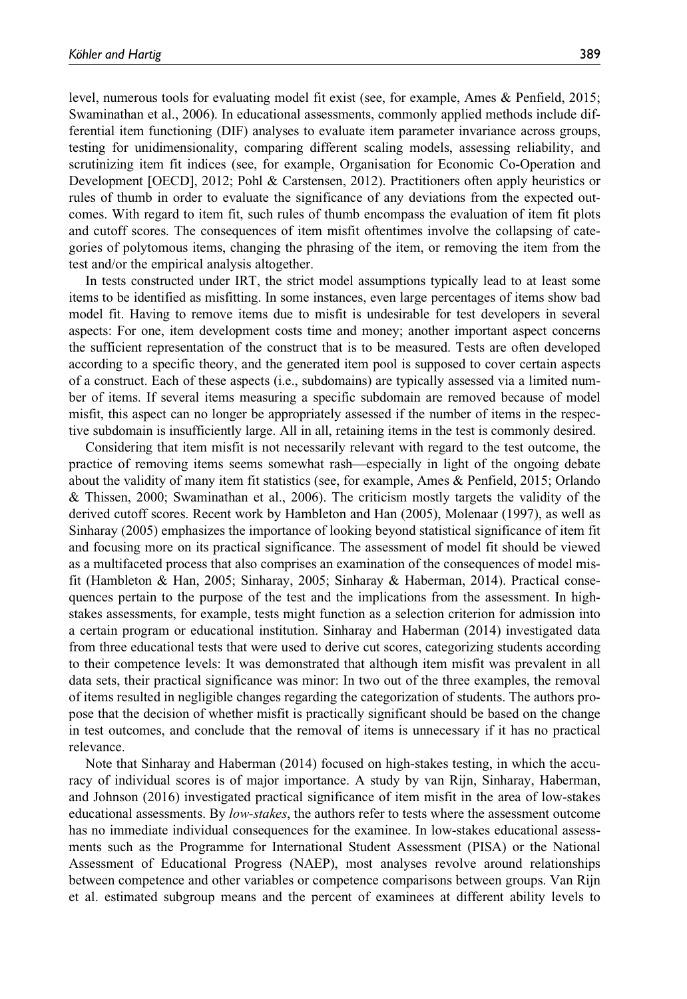level, numerous tools for evaluating model fit exist (see, for example, Ames & Penfield, 2015; Swaminathan et al., 2006). In educational assessments, commonly applied methods include differential item functioning (DIF) analyses to evaluate item parameter invariance across groups, testing for unidimensionality, comparing different scaling models, assessing reliability, and scrutinizing item fit indices (see, for example, Organisation for Economic Co-Operation and Development [OECD], 2012; Pohl & Carstensen, 2012). Practitioners often apply heuristics or rules of thumb in order to evaluate the significance of any deviations from the expected outcomes. With regard to item fit, such rules of thumb encompass the evaluation of item fit plots and cutoff scores. The consequences of item misfit oftentimes involve the collapsing of categories of polytomous items, changing the phrasing of the item, or removing the item from the test and/or the empirical analysis altogether.

In tests constructed under IRT, the strict model assumptions typically lead to at least some items to be identified as misfitting. In some instances, even large percentages of items show bad model fit. Having to remove items due to misfit is undesirable for test developers in several aspects: For one, item development costs time and money; another important aspect concerns the sufficient representation of the construct that is to be measured. Tests are often developed according to a specific theory, and the generated item pool is supposed to cover certain aspects of a construct. Each of these aspects (i.e., subdomains) are typically assessed via a limited number of items. If several items measuring a specific subdomain are removed because of model misfit, this aspect can no longer be appropriately assessed if the number of items in the respective subdomain is insufficiently large. All in all, retaining items in the test is commonly desired.

Considering that item misfit is not necessarily relevant with regard to the test outcome, the practice of removing items seems somewhat rash—especially in light of the ongoing debate about the validity of many item fit statistics (see, for example, Ames & Penfield, 2015; Orlando & Thissen, 2000; Swaminathan et al., 2006). The criticism mostly targets the validity of the derived cutoff scores. Recent work by Hambleton and Han (2005), Molenaar (1997), as well as Sinharay (2005) emphasizes the importance of looking beyond statistical significance of item fit and focusing more on its practical significance. The assessment of model fit should be viewed as a multifaceted process that also comprises an examination of the consequences of model misfit (Hambleton & Han, 2005; Sinharay, 2005; Sinharay & Haberman, 2014). Practical consequences pertain to the purpose of the test and the implications from the assessment. In highstakes assessments, for example, tests might function as a selection criterion for admission into a certain program or educational institution. Sinharay and Haberman (2014) investigated data from three educational tests that were used to derive cut scores, categorizing students according to their competence levels: It was demonstrated that although item misfit was prevalent in all data sets, their practical significance was minor: In two out of the three examples, the removal of items resulted in negligible changes regarding the categorization of students. The authors propose that the decision of whether misfit is practically significant should be based on the change in test outcomes, and conclude that the removal of items is unnecessary if it has no practical relevance.

Note that Sinharay and Haberman (2014) focused on high-stakes testing, in which the accuracy of individual scores is of major importance. A study by van Rijn, Sinharay, Haberman, and Johnson (2016) investigated practical significance of item misfit in the area of low-stakes educational assessments. By low-stakes, the authors refer to tests where the assessment outcome has no immediate individual consequences for the examinee. In low-stakes educational assessments such as the Programme for International Student Assessment (PISA) or the National Assessment of Educational Progress (NAEP), most analyses revolve around relationships between competence and other variables or competence comparisons between groups. Van Rijn et al. estimated subgroup means and the percent of examinees at different ability levels to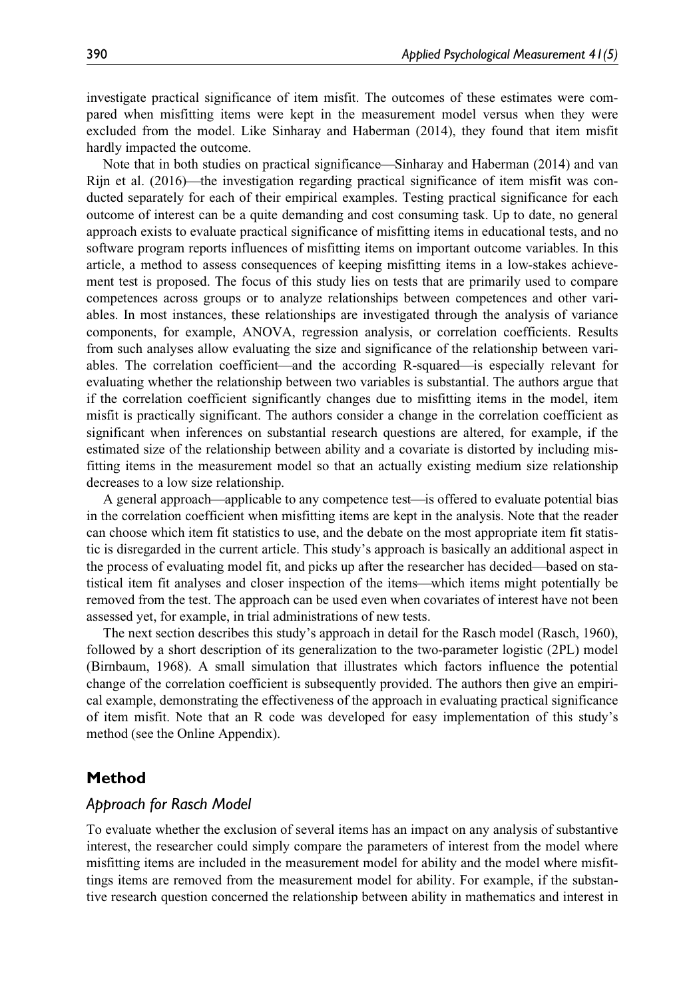investigate practical significance of item misfit. The outcomes of these estimates were compared when misfitting items were kept in the measurement model versus when they were excluded from the model. Like Sinharay and Haberman (2014), they found that item misfit hardly impacted the outcome.

Note that in both studies on practical significance—Sinharay and Haberman (2014) and van Rijn et al. (2016)—the investigation regarding practical significance of item misfit was conducted separately for each of their empirical examples. Testing practical significance for each outcome of interest can be a quite demanding and cost consuming task. Up to date, no general approach exists to evaluate practical significance of misfitting items in educational tests, and no software program reports influences of misfitting items on important outcome variables. In this article, a method to assess consequences of keeping misfitting items in a low-stakes achievement test is proposed. The focus of this study lies on tests that are primarily used to compare competences across groups or to analyze relationships between competences and other variables. In most instances, these relationships are investigated through the analysis of variance components, for example, ANOVA, regression analysis, or correlation coefficients. Results from such analyses allow evaluating the size and significance of the relationship between variables. The correlation coefficient—and the according R-squared—is especially relevant for evaluating whether the relationship between two variables is substantial. The authors argue that if the correlation coefficient significantly changes due to misfitting items in the model, item misfit is practically significant. The authors consider a change in the correlation coefficient as significant when inferences on substantial research questions are altered, for example, if the estimated size of the relationship between ability and a covariate is distorted by including misfitting items in the measurement model so that an actually existing medium size relationship decreases to a low size relationship.

A general approach—applicable to any competence test—is offered to evaluate potential bias in the correlation coefficient when misfitting items are kept in the analysis. Note that the reader can choose which item fit statistics to use, and the debate on the most appropriate item fit statistic is disregarded in the current article. This study's approach is basically an additional aspect in the process of evaluating model fit, and picks up after the researcher has decided—based on statistical item fit analyses and closer inspection of the items—which items might potentially be removed from the test. The approach can be used even when covariates of interest have not been assessed yet, for example, in trial administrations of new tests.

The next section describes this study's approach in detail for the Rasch model (Rasch, 1960), followed by a short description of its generalization to the two-parameter logistic (2PL) model (Birnbaum, 1968). A small simulation that illustrates which factors influence the potential change of the correlation coefficient is subsequently provided. The authors then give an empirical example, demonstrating the effectiveness of the approach in evaluating practical significance of item misfit. Note that an R code was developed for easy implementation of this study's method (see the Online Appendix).

## Method

#### Approach for Rasch Model

To evaluate whether the exclusion of several items has an impact on any analysis of substantive interest, the researcher could simply compare the parameters of interest from the model where misfitting items are included in the measurement model for ability and the model where misfittings items are removed from the measurement model for ability. For example, if the substantive research question concerned the relationship between ability in mathematics and interest in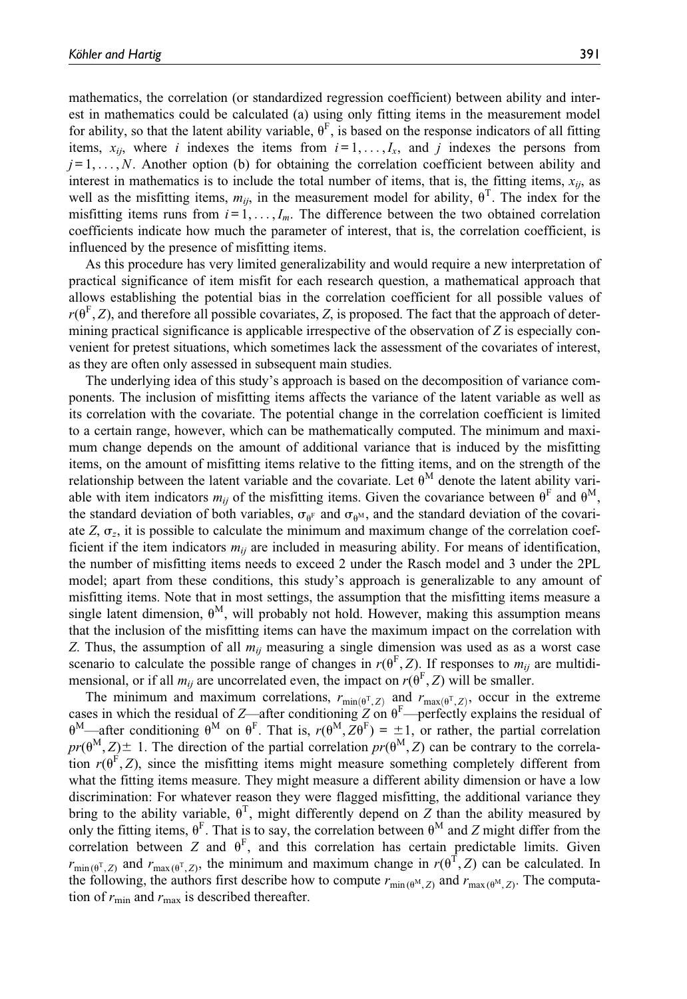mathematics, the correlation (or standardized regression coefficient) between ability and interest in mathematics could be calculated (a) using only fitting items in the measurement model for ability, so that the latent ability variable,  $\theta^F$ , is based on the response indicators of all fitting items,  $x_{ij}$ , where i indexes the items from  $i = 1, \ldots, I_x$ , and j indexes the persons from  $j = 1, \ldots, N$ . Another option (b) for obtaining the correlation coefficient between ability and interest in mathematics is to include the total number of items, that is, the fitting items,  $x_{ii}$ , as well as the misfitting items,  $m_{ij}$ , in the measurement model for ability,  $\theta^T$ . The index for the misfitting items runs from  $i = 1, \ldots, I_m$ . The difference between the two obtained correlation coefficients indicate how much the parameter of interest, that is, the correlation coefficient, is influenced by the presence of misfitting items.

As this procedure has very limited generalizability and would require a new interpretation of practical significance of item misfit for each research question, a mathematical approach that allows establishing the potential bias in the correlation coefficient for all possible values of  $r(\theta^F, Z)$ , and therefore all possible covariates, Z, is proposed. The fact that the approach of determining practical significance is applicable irrespective of the observation of  $Z$  is especially convenient for pretest situations, which sometimes lack the assessment of the covariates of interest, as they are often only assessed in subsequent main studies.

The underlying idea of this study's approach is based on the decomposition of variance components. The inclusion of misfitting items affects the variance of the latent variable as well as its correlation with the covariate. The potential change in the correlation coefficient is limited to a certain range, however, which can be mathematically computed. The minimum and maximum change depends on the amount of additional variance that is induced by the misfitting items, on the amount of misfitting items relative to the fitting items, and on the strength of the relationship between the latent variable and the covariate. Let  $\theta^M$  denote the latent ability variable with item indicators  $m_{ii}$  of the misfitting items. Given the covariance between  $\theta^F$  and  $\theta^M$ , the standard deviation of both variables,  $\sigma_{\theta^F}$  and  $\sigma_{\theta^N}$ , and the standard deviation of the covariate Z,  $\sigma_z$ , it is possible to calculate the minimum and maximum change of the correlation coefficient if the item indicators  $m_{ij}$  are included in measuring ability. For means of identification, the number of misfitting items needs to exceed 2 under the Rasch model and 3 under the 2PL model; apart from these conditions, this study's approach is generalizable to any amount of misfitting items. Note that in most settings, the assumption that the misfitting items measure a single latent dimension,  $\theta^M$ , will probably not hold. However, making this assumption means that the inclusion of the misfitting items can have the maximum impact on the correlation with Z. Thus, the assumption of all  $m_{ij}$  measuring a single dimension was used as as a worst case scenario to calculate the possible range of changes in  $r(\theta^F, Z)$ . If responses to  $m_{ii}$  are multidimensional, or if all  $m_{ij}$  are uncorrelated even, the impact on  $r(\theta^F, Z)$  will be smaller.

The minimum and maximum correlations,  $r_{min(\theta^T, Z)}$  and  $r_{max(\theta^T, Z)}$ , occur in the extreme cases in which the residual of Z—after conditioning Z on  $\theta^{\text{F}}$ —perfectly explains the residual of  $\theta^M$ —after conditioning  $\theta^M$  on  $\theta^F$ . That is,  $r(\theta^M, Z\theta^F) = \pm 1$ , or rather, the partial correlation  $pr(\theta^M, Z) \pm 1$ . The direction of the partial correlation  $pr(\theta^M, Z)$  can be contrary to the correlation  $r(\theta^F, Z)$ , since the misfitting items might measure something completely different from what the fitting items measure. They might measure a different ability dimension or have a low discrimination: For whatever reason they were flagged misfitting, the additional variance they bring to the ability variable,  $\theta^T$ , might differently depend on Z than the ability measured by only the fitting items,  $\theta^F$ . That is to say, the correlation between  $\theta^M$  and Z might differ from the correlation between Z and  $\theta^F$ , and this correlation has certain predictable limits. Given  $r_{\min(\theta^T, Z)}$  and  $r_{\max(\theta^T, Z)}$ , the minimum and maximum change in  $r(\theta^T, Z)$  can be calculated. In the following, the authors first describe how to compute  $r_{\text{min }(\theta^M, Z)}$  and  $r_{\text{max }(\theta^M, Z)}$ . The computation of  $r_{\min}$  and  $r_{\max}$  is described thereafter.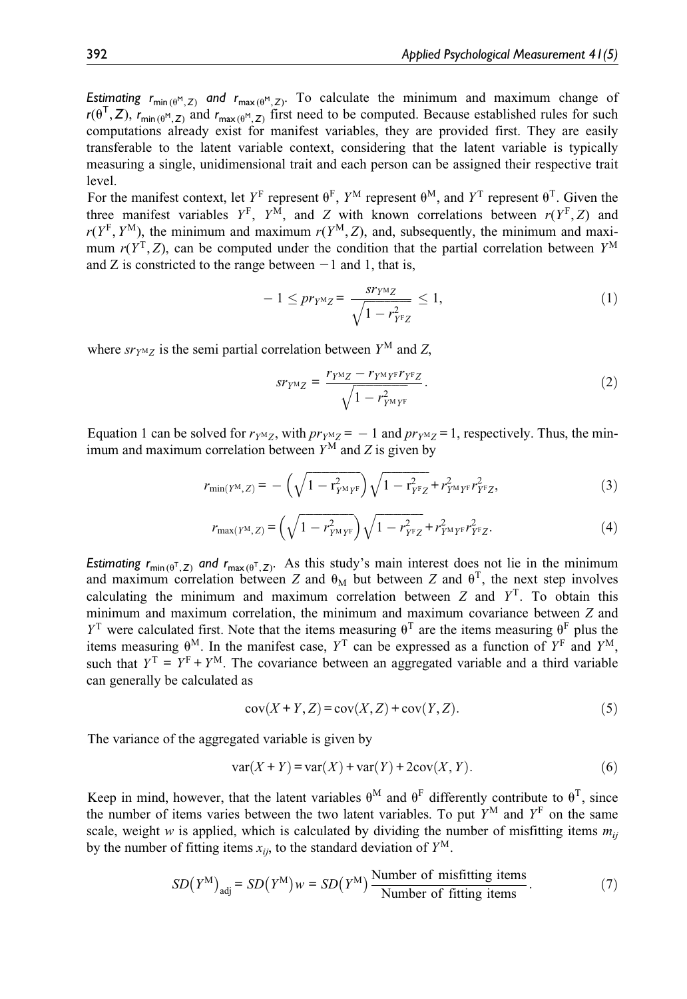Estimating  $r_{\min(\theta^M, Z)}$  and  $r_{\max(\theta^M, Z)}$ . To calculate the minimum and maximum change of  $r(\theta^T, Z)$ ,  $r_{min(\theta^M, Z)}$  and  $r_{max(\theta^M, Z)}$  first need to be computed. Because established rules for such computations already exist for manifest variables, they are provided first. They are easily transferable to the latent variable context, considering that the latent variable is typically measuring a single, unidimensional trait and each person can be assigned their respective trait level.

For the manifest context, let  $Y^F$  represent  $\theta^F$ ,  $Y^M$  represent  $\theta^M$ , and  $Y^T$  represent  $\theta^T$ . Given the three manifest variables  $Y^F$ ,  $Y^M$ , and Z with known correlations between  $r(Y^F, Z)$  and  $r(Y^F, Y^M)$ , the minimum and maximum  $r(Y^M, Z)$ , and, subsequently, the minimum and maximum  $r(Y^T, Z)$ , can be computed under the condition that the partial correlation between  $Y^M$ and Z is constricted to the range between  $-1$  and 1, that is,

$$
-1 \leq pr_{Y^{\rm M}Z} = \frac{sr_{Y^{\rm M}Z}}{\sqrt{1 - r_{Y^{\rm F}Z}^2}} \leq 1,
$$
\n(1)

where  $sr<sub>YM</sub>z$  is the semi partial correlation between  $Y<sup>M</sup>$  and Z,

$$
sr_{YMZ} = \frac{r_{YMZ} - r_{YMY}r_{Y}r_{Z}}{\sqrt{1 - r_{YMY}^2}}.
$$
\n(2)

Equation 1 can be solved for  $r_{YMZ}$ , with  $pr_{YMZ} = -1$  and  $pr_{YMZ} = 1$ , respectively. Thus, the minimum and maximum correlation between  $Y^M$  and Z is given by

$$
r_{\min(Y^{\rm M},Z)} = -\left(\sqrt{1 - r_{Y^{\rm M}Y^{\rm F}}^2}\right)\sqrt{1 - r_{Y^{\rm F}Z}^2} + r_{Y^{\rm M}Y^{\rm F}}^2 r_{Y^{\rm F}Z}^2,\tag{3}
$$

$$
r_{\max(Y^M, Z)} = \left(\sqrt{1 - r_{Y^M Y^F}^2}\right) \sqrt{1 - r_{Y^F Z}^2} + r_{Y^M Y^F}^2 r_{Y^F Z}^2.
$$
 (4)

Estimating  $r_{min(\theta^T, Z)}$  and  $r_{max(\theta^T, Z)}$ . As this study's main interest does not lie in the minimum and maximum correlation between Z and  $\theta_M$  but between Z and  $\theta^T$ , the next step involves calculating the minimum and maximum correlation between  $Z$  and  $Y<sup>T</sup>$ . To obtain this minimum and maximum correlation, the minimum and maximum covariance between Z and  $Y^T$  were calculated first. Note that the items measuring  $\theta^T$  are the items measuring  $\theta^F$  plus the items measuring  $\theta^M$ . In the manifest case,  $Y^T$  can be expressed as a function of  $Y^F$  and  $Y^M$ , such that  $Y^T = Y^F + Y^M$ . The covariance between an aggregated variable and a third variable can generally be calculated as

$$
cov(X+Y,Z) = cov(X,Z) + cov(Y,Z).
$$
\n(5)

The variance of the aggregated variable is given by

$$
var(X + Y) = var(X) + var(Y) + 2cov(X, Y).
$$
\n(6)

Keep in mind, however, that the latent variables  $\theta^M$  and  $\theta^F$  differently contribute to  $\theta^T$ , since the number of items varies between the two latent variables. To put  $Y^M$  and  $Y^F$  on the same scale, weight w is applied, which is calculated by dividing the number of misfitting items  $m_{ij}$ by the number of fitting items  $x_{ij}$ , to the standard deviation of  $Y^M$ .

$$
SD(Y^{M})adj = SD(Y^{M})w = SD(Y^{M}) \frac{\text{Number of misfitting items}}{\text{Number of fitting items}}.
$$
 (7)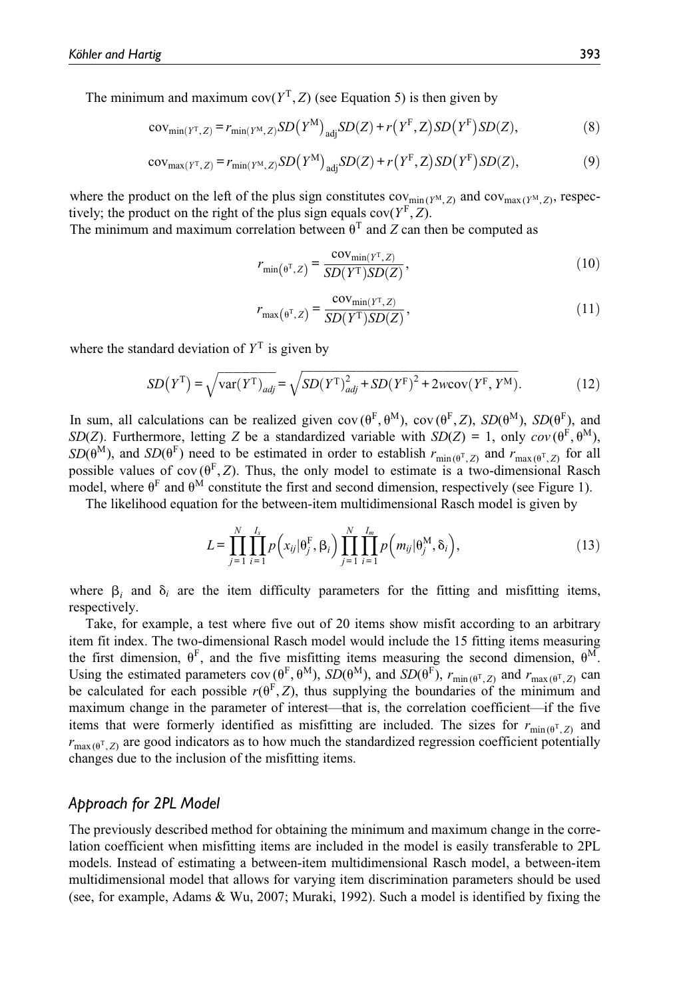The minimum and maximum  $cov(Y^T, Z)$  (see Equation 5) is then given by

$$
cov_{\min(Y^T, Z)} = r_{\min(Y^M, Z)}SD(Y^M)_{\text{adj}}SD(Z) + r(Y^F, Z)SD(Y^F)SD(Z),
$$
\n(8)

$$
cov_{\max(Y^T, Z)} = r_{\min(Y^M, Z)}SD(Y^M)_{\text{adj}}SD(Z) + r(Y^F, Z)SD(Y^F)SD(Z),
$$
\n(9)

where the product on the left of the plus sign constitutes  $cov_{min(Y^M, Z)}$  and  $cov_{max(Y^M, Z)}$ , respectively; the product on the right of the plus sign equals  $cov(Y^F, Z)$ .

The minimum and maximum correlation between  $\theta^T$  and Z can then be computed as

$$
r_{\min(\theta^{\mathrm{T}}, Z)} = \frac{\text{cov}_{\min(Y^{\mathrm{T}}, Z)}}{SD(Y^{\mathrm{T}})SD(Z)},
$$
\n(10)

$$
r_{\max(\theta^{\mathrm{T}},Z)} = \frac{\text{cov}_{\min(Y^{\mathrm{T}},Z)}}{SD(Y^{\mathrm{T}})SD(Z)},\tag{11}
$$

where the standard deviation of  $Y<sup>T</sup>$  is given by

$$
SD(YT) = \sqrt{\text{var}(YT)_{adj}} = \sqrt{SD(YT)_{adj}^2 + SD(YF)^2 + 2w\text{cov}(YF, YM)}.
$$
 (12)

In sum, all calculations can be realized given  $cov(\theta^F, \theta^M)$ ,  $cov(\theta^F, Z)$ ,  $SD(\theta^M)$ ,  $SD(\theta^F)$ , and SD(Z). Furthermore, letting Z be a standardized variable with  $SD(Z) = 1$ , only  $cov(\theta^F, \theta^M)$ ,  $SD(\theta^{\tilde{M}})$ , and  $SD(\theta^{\tilde{F}})$  need to be estimated in order to establish  $r_{\min(\theta^T, Z)}$  and  $r_{\max(\theta^T, Z)}$  for all possible values of cov  $(\theta^F, Z)$ . Thus, the only model to estimate is a two-dimensional Rasch model, where  $\theta^F$  and  $\theta^M$  constitute the first and second dimension, respectively (see Figure 1).

The likelihood equation for the between-item multidimensional Rasch model is given by

$$
L = \prod_{j=1}^N \prod_{i=1}^{I_x} p\left(x_{ij}|\theta_j^{\mathrm{F}}, \beta_i\right) \prod_{j=1}^N \prod_{i=1}^{I_m} p\left(m_{ij}|\theta_j^{\mathrm{M}}, \delta_i\right),\tag{13}
$$

where  $\beta_i$  and  $\delta_i$  are the item difficulty parameters for the fitting and misfitting items, respectively.

Take, for example, a test where five out of 20 items show misfit according to an arbitrary item fit index. The two-dimensional Rasch model would include the 15 fitting items measuring the first dimension,  $\theta^F$ , and the five misfitting items measuring the second dimension,  $\theta^M$ . Using the estimated parameters  $cov(\theta^F, \theta^M)$ ,  $\widetilde{SD}(\theta^M)$ , and  $SD(\theta^F)$ ,  $r_{\min(\theta^T, Z)}$  and  $r_{\max(\theta^T, Z)}$  can be calculated for each possible  $r(\theta^F, Z)$ , thus supplying the boundaries of the minimum and maximum change in the parameter of interest—that is, the correlation coefficient—if the five items that were formerly identified as misfitting are included. The sizes for  $r_{\text{min}(\theta^T, Z)}$  and  $r_{\text{max}(\theta^T, Z)}$  are good indicators as to how much the standardized regression coefficient potentially changes due to the inclusion of the misfitting items.

## Approach for 2PL Model

The previously described method for obtaining the minimum and maximum change in the correlation coefficient when misfitting items are included in the model is easily transferable to 2PL models. Instead of estimating a between-item multidimensional Rasch model, a between-item multidimensional model that allows for varying item discrimination parameters should be used (see, for example, Adams & Wu, 2007; Muraki, 1992). Such a model is identified by fixing the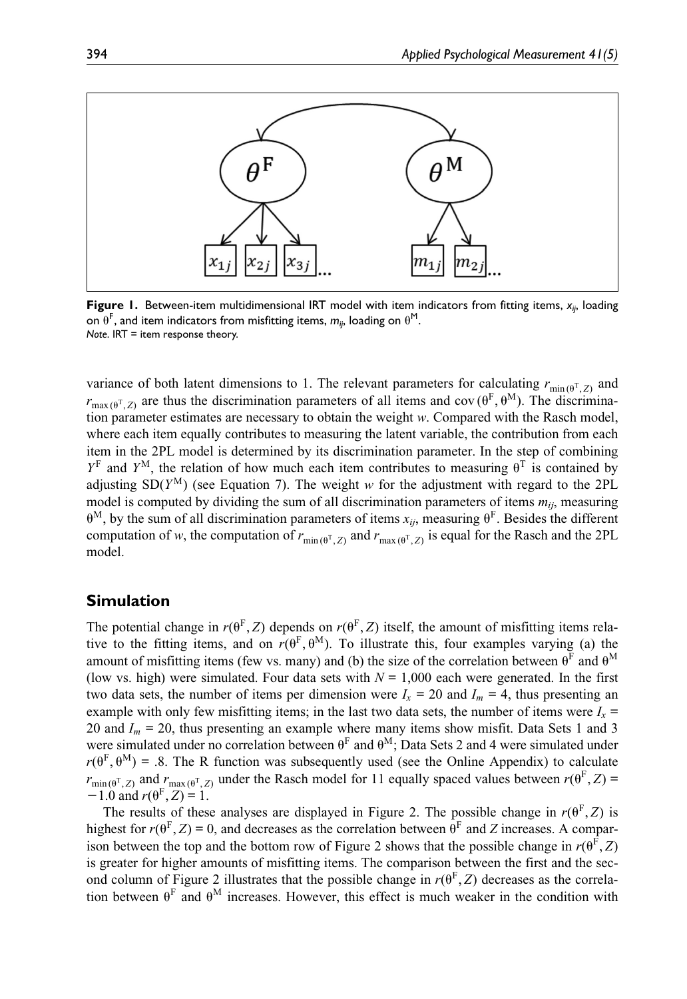

Figure 1. Between-item multidimensional IRT model with item indicators from fitting items,  $x_{ij}$ , loading on  $\theta^{\mathsf{F}}$ , and item indicators from misfitting items,  $m_{ij}$ , loading on  $\theta^{\mathsf{M}}$ . Note. IRT = item response theory.

variance of both latent dimensions to 1. The relevant parameters for calculating  $r_{\text{min}(\theta^T, Z)}$  and  $r_{\text{max}(\theta^T, Z)}$  are thus the discrimination parameters of all items and cov ( $\theta^F$ ,  $\theta^M$ ). The discrimination parameter estimates are necessary to obtain the weight w. Compared with the Rasch model, where each item equally contributes to measuring the latent variable, the contribution from each item in the 2PL model is determined by its discrimination parameter. In the step of combining  $Y<sup>F</sup>$  and  $Y<sup>M</sup>$ , the relation of how much each item contributes to measuring  $\theta<sup>T</sup>$  is contained by adjusting  $SD(Y^M)$  (see Equation 7). The weight w for the adjustment with regard to the 2PL model is computed by dividing the sum of all discrimination parameters of items  $m_{ij}$ , measuring  $\theta^M$ , by the sum of all discrimination parameters of items  $x_{ij}$ , measuring  $\theta^F$ . Besides the different computation of w, the computation of  $r_{\text{min}(\theta^T, Z)}$  and  $r_{\text{max}(\theta^T, Z)}$  is equal for the Rasch and the 2PL model.

## Simulation

The potential change in  $r(\theta^F, Z)$  depends on  $r(\theta^F, Z)$  itself, the amount of misfitting items relative to the fitting items, and on  $r(\theta^F, \theta^M)$ . To illustrate this, four examples varying (a) the amount of misfitting items (few vs. many) and (b) the size of the correlation between  $\theta^F$  and  $\theta^M$ (low vs. high) were simulated. Four data sets with  $N = 1,000$  each were generated. In the first two data sets, the number of items per dimension were  $I_x = 20$  and  $I_m = 4$ , thus presenting an example with only few misfitting items; in the last two data sets, the number of items were  $I_x$  = 20 and  $I_m = 20$ , thus presenting an example where many items show misfit. Data Sets 1 and 3 were simulated under no correlation between  $\theta^F$  and  $\theta^M$ ; Data Sets 2 and 4 were simulated under  $r(\theta^F, \theta^M)$  = .8. The R function was subsequently used (see the Online Appendix) to calculate  $r_{\min(\theta^T, Z)}$  and  $r_{\max(\theta^T, Z)}$  under the Rasch model for 11 equally spaced values between  $r(\theta^F, Z)$  =  $-1.0$  and  $r(\theta^{\rm F}, Z) = 1$ .

The results of these analyses are displayed in Figure 2. The possible change in  $r(\theta^F, Z)$  is highest for  $r(\theta^F, Z) = 0$ , and decreases as the correlation between  $\theta^F$  and Z increases. A comparison between the top and the bottom row of Figure 2 shows that the possible change in  $r(\theta^F, Z)$ is greater for higher amounts of misfitting items. The comparison between the first and the second column of Figure 2 illustrates that the possible change in  $r(\theta^F, Z)$  decreases as the correlation between  $\theta^F$  and  $\theta^M$  increases. However, this effect is much weaker in the condition with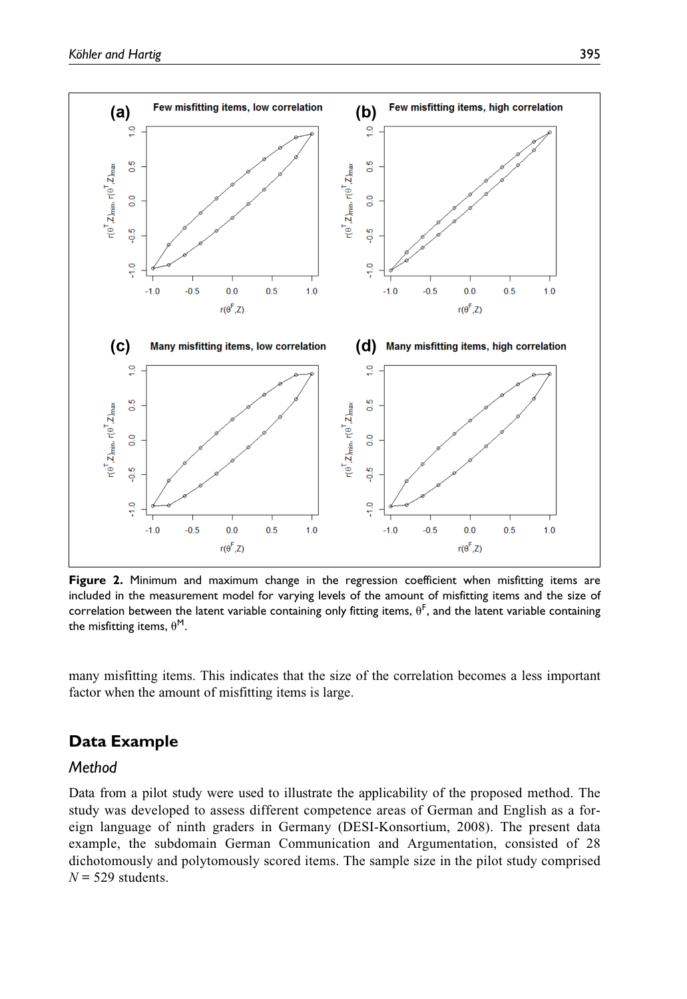

Figure 2. Minimum and maximum change in the regression coefficient when misfitting items are included in the measurement model for varying levels of the amount of misfitting items and the size of correlation between the latent variable containing only fitting items,  $\theta^{\text{F}}$ , and the latent variable containing the misfitting items,  $\theta^M$ .

many misfitting items. This indicates that the size of the correlation becomes a less important factor when the amount of misfitting items is large.

# Data Example

## Method

Data from a pilot study were used to illustrate the applicability of the proposed method. The study was developed to assess different competence areas of German and English as a foreign language of ninth graders in Germany (DESI-Konsortium, 2008). The present data example, the subdomain German Communication and Argumentation, consisted of 28 dichotomously and polytomously scored items. The sample size in the pilot study comprised  $N = 529$  students.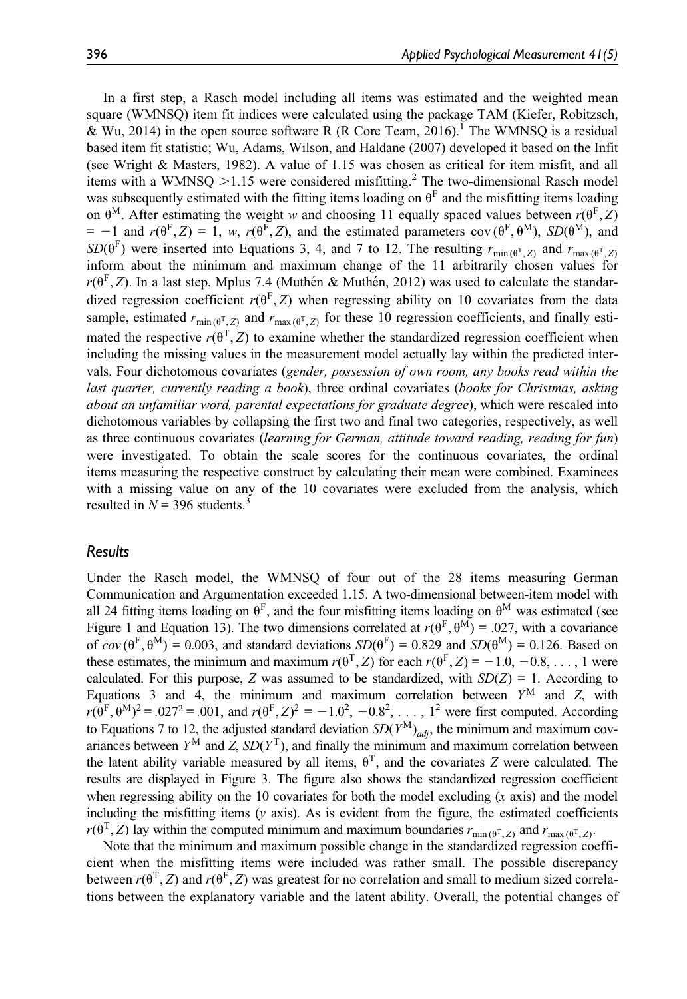In a first step, a Rasch model including all items was estimated and the weighted mean square (WMNSQ) item fit indices were calculated using the package TAM (Kiefer, Robitzsch, & Wu, 2014) in the open source software R (R Core Team, 2016). The WMNSO is a residual based item fit statistic; Wu, Adams, Wilson, and Haldane (2007) developed it based on the Infit (see Wright & Masters, 1982). A value of 1.15 was chosen as critical for item misfit, and all items with a WMNSQ  $>1.15$  were considered misfitting.<sup>2</sup> The two-dimensional Rasch model was subsequently estimated with the fitting items loading on  $\theta^F$  and the misfitting items loading on  $\theta^M$ . After estimating the weight w and choosing 11 equally spaced values between  $r(\theta^F, Z)$  $= -1$  and  $r(\theta^F, Z) = 1$ , w,  $r(\theta^F, Z)$ , and the estimated parameters cov  $(\theta^F, \theta^M)$ ,  $SD(\theta^M)$ , and  $SD(\theta^F)$  were inserted into Equations 3, 4, and 7 to 12. The resulting  $r_{min(\theta^T, Z)}$  and  $r_{max(\theta^T, Z)}$ inform about the minimum and maximum change of the 11 arbitrarily chosen values for  $r(\theta^{\rm F}, Z)$ . In a last step, Mplus 7.4 (Muthén & Muthén, 2012) was used to calculate the standardized regression coefficient  $r(\theta^F, Z)$  when regressing ability on 10 covariates from the data sample, estimated  $r_{\min(\theta^T, Z)}$  and  $r_{\max(\theta^T, Z)}$  for these 10 regression coefficients, and finally estimated the respective  $r(\theta^T, Z)$  to examine whether the standardized regression coefficient when including the missing values in the measurement model actually lay within the predicted intervals. Four dichotomous covariates (gender, possession of own room, any books read within the last quarter, currently reading a book), three ordinal covariates (books for Christmas, asking about an unfamiliar word, parental expectations for graduate degree), which were rescaled into dichotomous variables by collapsing the first two and final two categories, respectively, as well as three continuous covariates (learning for German, attitude toward reading, reading for fun) were investigated. To obtain the scale scores for the continuous covariates, the ordinal items measuring the respective construct by calculating their mean were combined. Examinees with a missing value on any of the 10 covariates were excluded from the analysis, which resulted in  $N = 396$  students.<sup>3</sup>

#### Results

Under the Rasch model, the WMNSQ of four out of the 28 items measuring German Communication and Argumentation exceeded 1.15. A two-dimensional between-item model with all 24 fitting items loading on  $\theta^F$ , and the four misfitting items loading on  $\theta^M$  was estimated (see Figure 1 and Equation 13). The two dimensions correlated at  $r(\theta^{\rm F}, \theta^{\rm M}) = .027$ , with a covariance of  $cov(\theta^F, \theta^M) = 0.003$ , and standard deviations  $SD(\theta^F) = 0.829$  and  $SD(\theta^M) = 0.126$ . Based on these estimates, the minimum and maximum  $r(\theta^T, Z)$  for each  $r(\theta^T, Z) = -1.0, -0.8, \ldots, 1$  were calculated. For this purpose, Z was assumed to be standardized, with  $SD(Z) = 1$ . According to Equations 3 and 4, the minimum and maximum correlation between  $Y^M$  and Z, with  $r(\bar{\theta}^{\text{F}}, \theta^{\text{M}})^2 = .027^2 = .001$ , and  $r(\theta^{\text{F}}, Z)^2 = -1.0^2, -0.8^2, \ldots, 1^2$  were first computed. According to Equations 7 to 12, the adjusted standard deviation  $SD(Y^{M})_{adj}$ , the minimum and maximum covariances between  $Y^M$  and  $Z$ ,  $SD(Y^T)$ , and finally the minimum and maximum correlation between the latent ability variable measured by all items,  $\theta^T$ , and the covariates Z were calculated. The results are displayed in Figure 3. The figure also shows the standardized regression coefficient when regressing ability on the 10 covariates for both the model excluding  $(x \text{ axis})$  and the model including the misfitting items  $(y \text{ axis})$ . As is evident from the figure, the estimated coefficients  $r(\theta^T, Z)$  lay within the computed minimum and maximum boundaries  $r_{\min(\theta^T, Z)}$  and  $r_{\max(\theta^T, Z)}$ .

Note that the minimum and maximum possible change in the standardized regression coefficient when the misfitting items were included was rather small. The possible discrepancy between  $r(\theta^T, Z)$  and  $r(\theta^F, Z)$  was greatest for no correlation and small to medium sized correlations between the explanatory variable and the latent ability. Overall, the potential changes of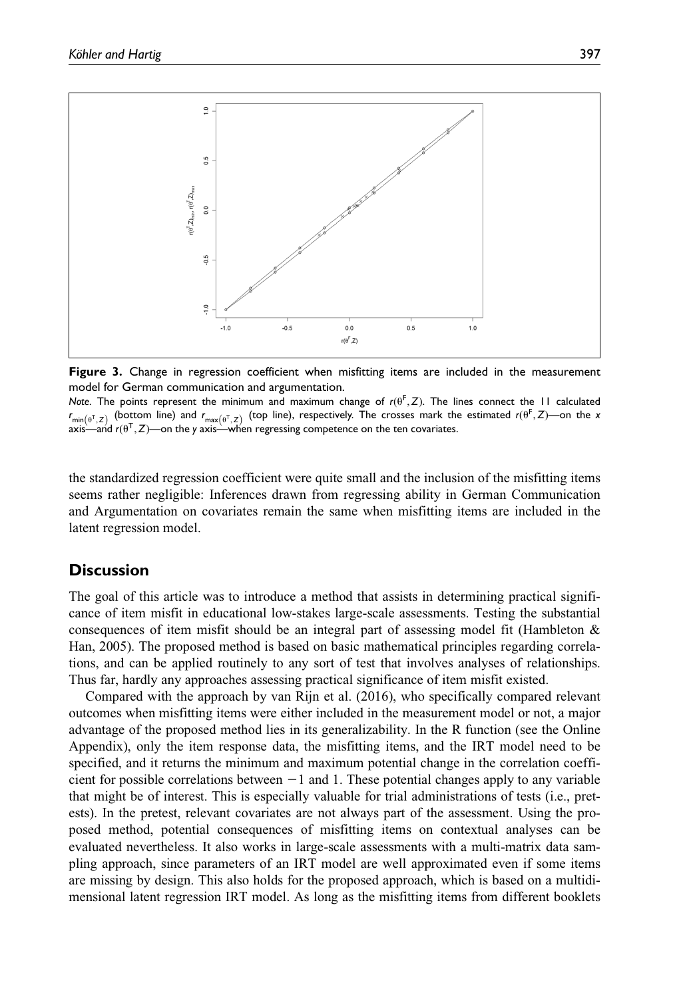

Figure 3. Change in regression coefficient when misfitting items are included in the measurement model for German communication and argumentation.

Note. The points represent the minimum and maximum change of  $r(\theta^F, Z)$ . The lines connect the 11 calculated  $r_{\min(\theta^T, Z)}$  (bottom line) and  $r_{\max(\theta^T, Z)}$  (top line), respectively. The crosses mark the estimated  $r(\theta^T, Z)$ —on the x axis—and  $r(\theta^T, Z)$ —on the y axis—when regressing competence on the ten covariates.

the standardized regression coefficient were quite small and the inclusion of the misfitting items seems rather negligible: Inferences drawn from regressing ability in German Communication and Argumentation on covariates remain the same when misfitting items are included in the latent regression model.

## **Discussion**

The goal of this article was to introduce a method that assists in determining practical significance of item misfit in educational low-stakes large-scale assessments. Testing the substantial consequences of item misfit should be an integral part of assessing model fit (Hambleton & Han, 2005). The proposed method is based on basic mathematical principles regarding correlations, and can be applied routinely to any sort of test that involves analyses of relationships. Thus far, hardly any approaches assessing practical significance of item misfit existed.

Compared with the approach by van Rijn et al. (2016), who specifically compared relevant outcomes when misfitting items were either included in the measurement model or not, a major advantage of the proposed method lies in its generalizability. In the R function (see the Online Appendix), only the item response data, the misfitting items, and the IRT model need to be specified, and it returns the minimum and maximum potential change in the correlation coefficient for possible correlations between  $-1$  and 1. These potential changes apply to any variable that might be of interest. This is especially valuable for trial administrations of tests (i.e., pretests). In the pretest, relevant covariates are not always part of the assessment. Using the proposed method, potential consequences of misfitting items on contextual analyses can be evaluated nevertheless. It also works in large-scale assessments with a multi-matrix data sampling approach, since parameters of an IRT model are well approximated even if some items are missing by design. This also holds for the proposed approach, which is based on a multidimensional latent regression IRT model. As long as the misfitting items from different booklets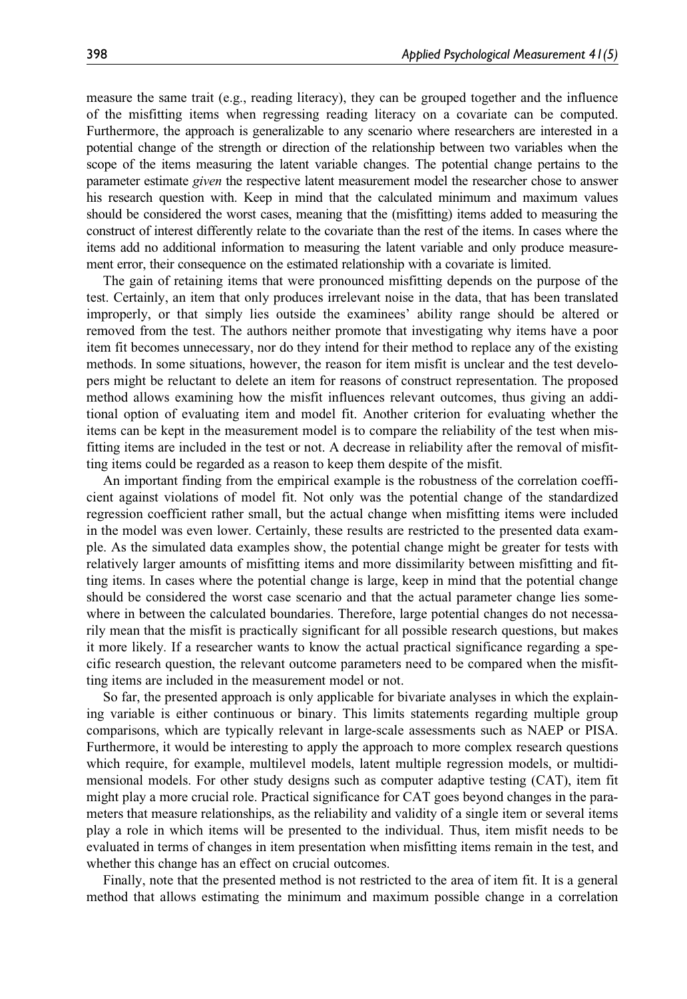measure the same trait (e.g., reading literacy), they can be grouped together and the influence of the misfitting items when regressing reading literacy on a covariate can be computed. Furthermore, the approach is generalizable to any scenario where researchers are interested in a potential change of the strength or direction of the relationship between two variables when the scope of the items measuring the latent variable changes. The potential change pertains to the parameter estimate given the respective latent measurement model the researcher chose to answer his research question with. Keep in mind that the calculated minimum and maximum values should be considered the worst cases, meaning that the (misfitting) items added to measuring the construct of interest differently relate to the covariate than the rest of the items. In cases where the items add no additional information to measuring the latent variable and only produce measurement error, their consequence on the estimated relationship with a covariate is limited.

The gain of retaining items that were pronounced misfitting depends on the purpose of the test. Certainly, an item that only produces irrelevant noise in the data, that has been translated improperly, or that simply lies outside the examinees' ability range should be altered or removed from the test. The authors neither promote that investigating why items have a poor item fit becomes unnecessary, nor do they intend for their method to replace any of the existing methods. In some situations, however, the reason for item misfit is unclear and the test developers might be reluctant to delete an item for reasons of construct representation. The proposed method allows examining how the misfit influences relevant outcomes, thus giving an additional option of evaluating item and model fit. Another criterion for evaluating whether the items can be kept in the measurement model is to compare the reliability of the test when misfitting items are included in the test or not. A decrease in reliability after the removal of misfitting items could be regarded as a reason to keep them despite of the misfit.

An important finding from the empirical example is the robustness of the correlation coefficient against violations of model fit. Not only was the potential change of the standardized regression coefficient rather small, but the actual change when misfitting items were included in the model was even lower. Certainly, these results are restricted to the presented data example. As the simulated data examples show, the potential change might be greater for tests with relatively larger amounts of misfitting items and more dissimilarity between misfitting and fitting items. In cases where the potential change is large, keep in mind that the potential change should be considered the worst case scenario and that the actual parameter change lies somewhere in between the calculated boundaries. Therefore, large potential changes do not necessarily mean that the misfit is practically significant for all possible research questions, but makes it more likely. If a researcher wants to know the actual practical significance regarding a specific research question, the relevant outcome parameters need to be compared when the misfitting items are included in the measurement model or not.

So far, the presented approach is only applicable for bivariate analyses in which the explaining variable is either continuous or binary. This limits statements regarding multiple group comparisons, which are typically relevant in large-scale assessments such as NAEP or PISA. Furthermore, it would be interesting to apply the approach to more complex research questions which require, for example, multilevel models, latent multiple regression models, or multidimensional models. For other study designs such as computer adaptive testing (CAT), item fit might play a more crucial role. Practical significance for CAT goes beyond changes in the parameters that measure relationships, as the reliability and validity of a single item or several items play a role in which items will be presented to the individual. Thus, item misfit needs to be evaluated in terms of changes in item presentation when misfitting items remain in the test, and whether this change has an effect on crucial outcomes.

Finally, note that the presented method is not restricted to the area of item fit. It is a general method that allows estimating the minimum and maximum possible change in a correlation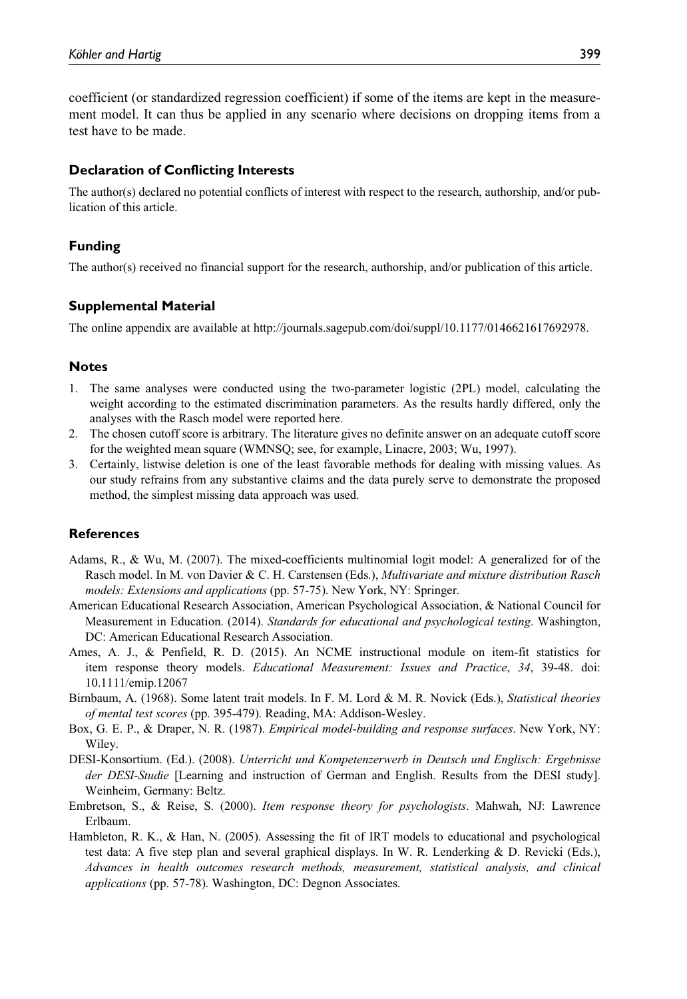coefficient (or standardized regression coefficient) if some of the items are kept in the measurement model. It can thus be applied in any scenario where decisions on dropping items from a test have to be made.

## Declaration of Conflicting Interests

The author(s) declared no potential conflicts of interest with respect to the research, authorship, and/or publication of this article.

## Funding

The author(s) received no financial support for the research, authorship, and/or publication of this article.

## Supplemental Material

The online appendix are available at http://journals.sagepub.com/doi/suppl/10.1177/0146621617692978.

#### Notes

- 1. The same analyses were conducted using the two-parameter logistic (2PL) model, calculating the weight according to the estimated discrimination parameters. As the results hardly differed, only the analyses with the Rasch model were reported here.
- 2. The chosen cutoff score is arbitrary. The literature gives no definite answer on an adequate cutoff score for the weighted mean square (WMNSQ; see, for example, Linacre, 2003; Wu, 1997).
- 3. Certainly, listwise deletion is one of the least favorable methods for dealing with missing values. As our study refrains from any substantive claims and the data purely serve to demonstrate the proposed method, the simplest missing data approach was used.

## **References**

- Adams, R., & Wu, M. (2007). The mixed-coefficients multinomial logit model: A generalized for of the Rasch model. In M. von Davier & C. H. Carstensen (Eds.), Multivariate and mixture distribution Rasch models: Extensions and applications (pp. 57-75). New York, NY: Springer.
- American Educational Research Association, American Psychological Association, & National Council for Measurement in Education. (2014). Standards for educational and psychological testing. Washington, DC: American Educational Research Association.
- Ames, A. J., & Penfield, R. D. (2015). An NCME instructional module on item-fit statistics for item response theory models. Educational Measurement: Issues and Practice, 34, 39-48. doi: 10.1111/emip.12067
- Birnbaum, A. (1968). Some latent trait models. In F. M. Lord & M. R. Novick (Eds.), Statistical theories of mental test scores (pp. 395-479). Reading, MA: Addison-Wesley.
- Box, G. E. P., & Draper, N. R. (1987). *Empirical model-building and response surfaces*. New York, NY: Wiley.
- DESI-Konsortium. (Ed.). (2008). Unterricht und Kompetenzerwerb in Deutsch und Englisch: Ergebnisse der DESI-Studie [Learning and instruction of German and English. Results from the DESI study]. Weinheim, Germany: Beltz.
- Embretson, S., & Reise, S. (2000). Item response theory for psychologists. Mahwah, NJ: Lawrence Erlbaum.
- Hambleton, R. K., & Han, N. (2005). Assessing the fit of IRT models to educational and psychological test data: A five step plan and several graphical displays. In W. R. Lenderking & D. Revicki (Eds.), Advances in health outcomes research methods, measurement, statistical analysis, and clinical applications (pp. 57-78). Washington, DC: Degnon Associates.